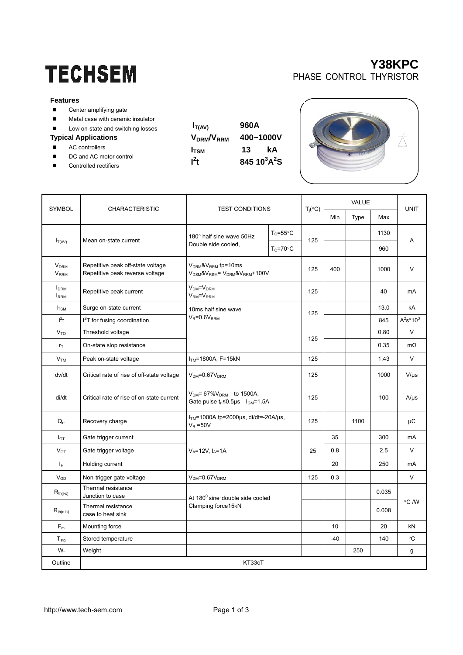# **TECHSEM**

#### **Features**

- Center amplifying gate
- **Metal case with ceramic insulator**
- Low on-state and switching losses

#### **Typical Applications**

- AC controllers
- DC and AC motor control
- Controlled rectifiers

| $I_{T(AV)}$                        | 960A                |    |  |  |  |  |
|------------------------------------|---------------------|----|--|--|--|--|
| V <sub>DRM</sub> /V <sub>RRM</sub> | 400~1000V           |    |  |  |  |  |
| <b>I</b> <sub>TSM</sub>            | 13                  | kА |  |  |  |  |
| $l^2t$                             | 845 $10^3$ A $^2$ S |    |  |  |  |  |
|                                    |                     |    |  |  |  |  |



| <b>SYMBOL</b>                                     | <b>CHARACTERISTIC</b>                                                | <b>TEST CONDITIONS</b>                                                               |                      | $T_j({}^{\circ}C)$ | <b>VALUE</b> |      |       | <b>UNIT</b>  |  |
|---------------------------------------------------|----------------------------------------------------------------------|--------------------------------------------------------------------------------------|----------------------|--------------------|--------------|------|-------|--------------|--|
|                                                   |                                                                      |                                                                                      |                      |                    | Min          | Type | Max   |              |  |
| $I_{T(AV)}$                                       | Mean on-state current                                                | 180° half sine wave 50Hz<br>Double side cooled,                                      | $T_c = 55^{\circ}$ C | 125                |              |      | 1130  | A            |  |
|                                                   |                                                                      |                                                                                      | $T_c = 70$ °C        |                    |              |      | 960   |              |  |
| <b>V<sub>DRM</sub></b><br><b>V</b> <sub>RRM</sub> | Repetitive peak off-state voltage<br>Repetitive peak reverse voltage | $V_{DRM}$ & $V_{RRM}$ tp=10ms<br>$V_{DSM}$ & $V_{RSM}$ = $V_{DRM}$ & $V_{RRM}$ +100V |                      | 125                | 400          |      | 1000  | $\vee$       |  |
| <b>I</b> <sub>DRM</sub><br><b>IRRM</b>            | Repetitive peak current                                              | $VDM=VDRM$<br>$VRM=VRRM$                                                             |                      | 125                |              |      | 40    | mA           |  |
| $I_{\text{TSM}}$                                  | Surge on-state current                                               | 10ms half sine wave<br>$V_R = 0.6V_{RRM}$                                            |                      | 125                |              |      | 13.0  | kA           |  |
| $I^2t$                                            | I <sup>2</sup> T for fusing coordination                             |                                                                                      |                      |                    |              |      | 845   | $A^2s^*10^3$ |  |
| $V_{TO}$                                          | Threshold voltage                                                    |                                                                                      |                      |                    |              |      | 0.80  | $\vee$       |  |
| $r_T$                                             | On-state slop resistance                                             |                                                                                      |                      | 125                |              |      | 0.35  | $m\Omega$    |  |
| V <sub>TM</sub>                                   | Peak on-state voltage                                                | $ITM=1800A, F=15kN$                                                                  |                      | 125                |              |      | 1.43  | V            |  |
| dv/dt                                             | Critical rate of rise of off-state voltage                           | $VDM=0.67VDRM$                                                                       |                      | 125                |              |      | 1000  | $V/\mu s$    |  |
| di/dt                                             | Critical rate of rise of on-state current                            | $V_{DM}$ = 67% $V_{DRM}$ to 1500A,<br>Gate pulse $t_r \le 0.5\mu s$ $I_{GM} = 1.5A$  |                      | 125                |              |      | 100   | $A/\mu s$    |  |
| $Q_{rr}$                                          | Recovery charge                                                      | $ITM=1000A$ , tp=2000µs, di/dt=-20A/µs,<br>$V_R = 50V$                               |                      | 125                |              | 1100 |       | μC           |  |
| $I_{GT}$                                          | Gate trigger current                                                 | $V_A = 12V$ , $I_A = 1A$                                                             |                      |                    | 35           |      | 300   | mA           |  |
| $V_{GT}$                                          | Gate trigger voltage                                                 |                                                                                      |                      | 25                 | 0.8          |      | 2.5   | V            |  |
| Iн                                                | Holding current                                                      |                                                                                      |                      |                    | 20           |      | 250   | mA           |  |
| $V_{GD}$                                          | Non-trigger gate voltage                                             | $VDM=0.67VDRM$                                                                       |                      | 125                | 0.3          |      |       | V            |  |
| $R_{th(j-c)}$                                     | Thermal resistance<br>Junction to case                               | At 180 <sup>0</sup> sine double side cooled<br>Clamping force15kN                    |                      |                    |              |      | 0.035 |              |  |
| $R_{th(c-h)}$                                     | Thermal resistance<br>case to heat sink                              |                                                                                      |                      |                    |              |      | 0.008 | °C /W        |  |
| $F_m$                                             | Mounting force                                                       |                                                                                      |                      |                    | 10           |      | 20    | kN           |  |
| $\mathsf{T}_{\text{stg}}$                         | Stored temperature                                                   |                                                                                      |                      |                    | $-40$        |      | 140   | °C           |  |
| $W_t$                                             | Weight                                                               |                                                                                      |                      |                    |              | 250  |       | g            |  |
| Outline                                           | KT33cT                                                               |                                                                                      |                      |                    |              |      |       |              |  |

## **Y38KPC**  PHASE CONTROL THYRISTOR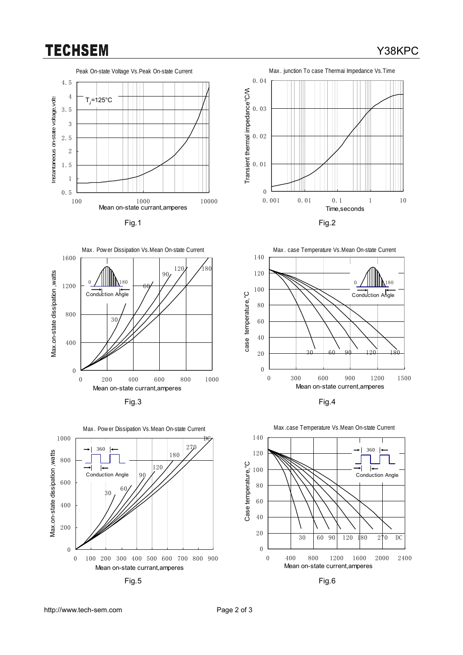## **TECHSEM**

### Y38KPC













Max.case Temperature Vs.Mean On-state Current 140 360 120 C 100 ∣∢ Case temperature,° Conduction Angle 80 60 40 20 30 60 90 120 180 270 DC 0 0 400 800 1200 1600 2000 2400 Mean on-state current,amperes